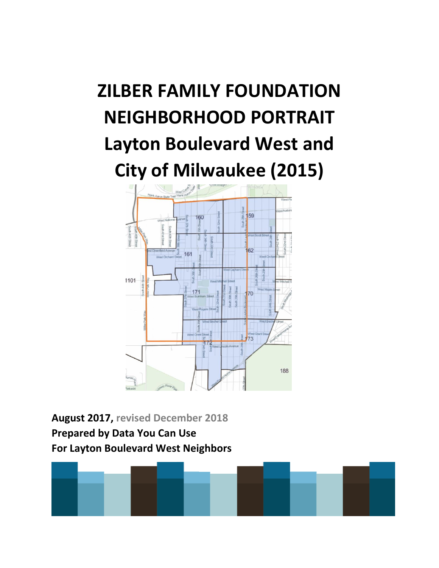# **ZILBER FAMILY FOUNDATION NEIGHBORHOOD PORTRAIT Layton Boulevard West and City of Milwaukee (2015)**



**August 2017, revised December 2018 Prepared by Data You Can Use For Layton Boulevard West Neighbors**

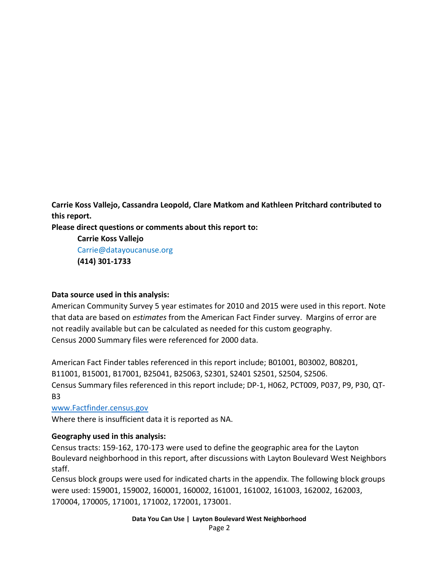**Carrie Koss Vallejo, Cassandra Leopold, Clare Matkom and Kathleen Pritchard contributed to this report.** 

**Please direct questions or comments about this report to:**

**Carrie Koss Vallejo** Carrie@datayoucanuse.org **(414) 301-1733**

#### **Data source used in this analysis:**

American Community Survey 5 year estimates for 2010 and 2015 were used in this report. Note that data are based on *estimates* from the American Fact Finder survey. Margins of error are not readily available but can be calculated as needed for this custom geography. Census 2000 Summary files were referenced for 2000 data.

American Fact Finder tables referenced in this report include; B01001, B03002, B08201, B11001, B15001, B17001, B25041, B25063, S2301, S2401 S2501, S2504, S2506. Census Summary files referenced in this report include; DP-1, H062, PCT009, P037, P9, P30, QT-B3

[www.Factfinder.census.gov](http://www.factfinder.census.gov/) 

Where there is insufficient data it is reported as NA.

#### **Geography used in this analysis:**

Census tracts: 159-162, 170-173 were used to define the geographic area for the Layton Boulevard neighborhood in this report, after discussions with Layton Boulevard West Neighbors staff.

Census block groups were used for indicated charts in the appendix. The following block groups were used: 159001, 159002, 160001, 160002, 161001, 161002, 161003, 162002, 162003, 170004, 170005, 171001, 171002, 172001, 173001.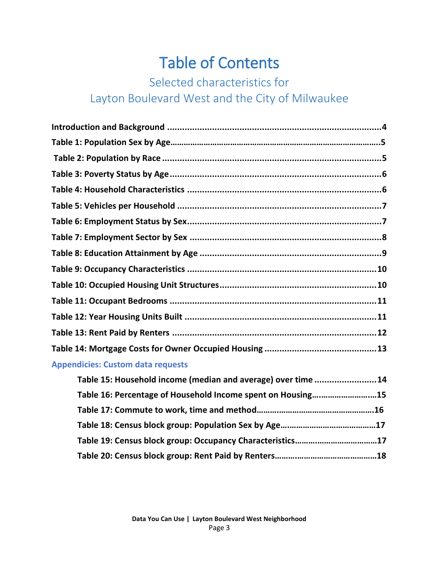# Table of Contents

# Selected characteristics for Layton Boulevard West and the City of Milwaukee

| <b>Appendicies: Custom data requests</b>                     |  |
|--------------------------------------------------------------|--|
| Table 15: Household income (median and average) over time 14 |  |
| Table 16: Percentage of Household Income spent on Housing15  |  |
|                                                              |  |
|                                                              |  |
|                                                              |  |
|                                                              |  |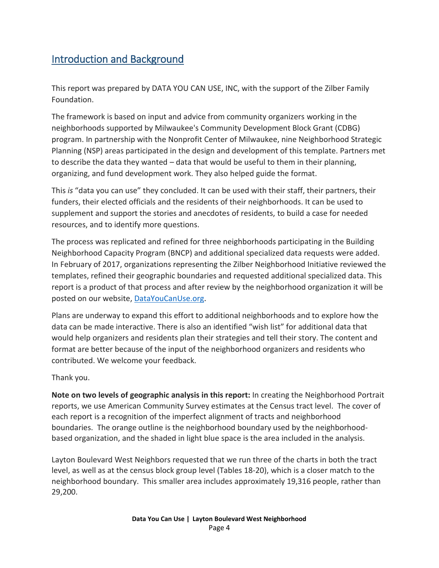#### <span id="page-3-0"></span>Introduction and Background

This report was prepared by DATA YOU CAN USE, INC, with the support of the Zilber Family Foundation.

The framework is based on input and advice from community organizers working in the neighborhoods supported by Milwaukee's Community Development Block Grant (CDBG) program. In partnership with the Nonprofit Center of Milwaukee, nine Neighborhood Strategic Planning (NSP) areas participated in the design and development of this template. Partners met to describe the data they wanted – data that would be useful to them in their planning, organizing, and fund development work. They also helped guide the format.

This *is* "data you can use" they concluded. It can be used with their staff, their partners, their funders, their elected officials and the residents of their neighborhoods. It can be used to supplement and support the stories and anecdotes of residents, to build a case for needed resources, and to identify more questions.

The process was replicated and refined for three neighborhoods participating in the Building Neighborhood Capacity Program (BNCP) and additional specialized data requests were added. In February of 2017, organizations representing the Zilber Neighborhood Initiative reviewed the templates, refined their geographic boundaries and requested additional specialized data. This report is a product of that process and after review by the neighborhood organization it will be posted on our website, [DataYouCanUse.org.](file:///C:/Users/carri/Desktop/Projects%20and%20Old%20Laptop%20files/Zilber%20Neighborhood%20Profiles/Zilber%20Neighborhood%20profiles/DataYouCanUse.org)

Plans are underway to expand this effort to additional neighborhoods and to explore how the data can be made interactive. There is also an identified "wish list" for additional data that would help organizers and residents plan their strategies and tell their story. The content and format are better because of the input of the neighborhood organizers and residents who contributed. We welcome your feedback.

Thank you.

**Note on two levels of geographic analysis in this report:** In creating the Neighborhood Portrait reports, we use American Community Survey estimates at the Census tract level. The cover of each report is a recognition of the imperfect alignment of tracts and neighborhood boundaries. The orange outline is the neighborhood boundary used by the neighborhoodbased organization, and the shaded in light blue space is the area included in the analysis.

Layton Boulevard West Neighbors requested that we run three of the charts in both the tract level, as well as at the census block group level (Tables 18-20), which is a closer match to the neighborhood boundary. This smaller area includes approximately 19,316 people, rather than 29,200.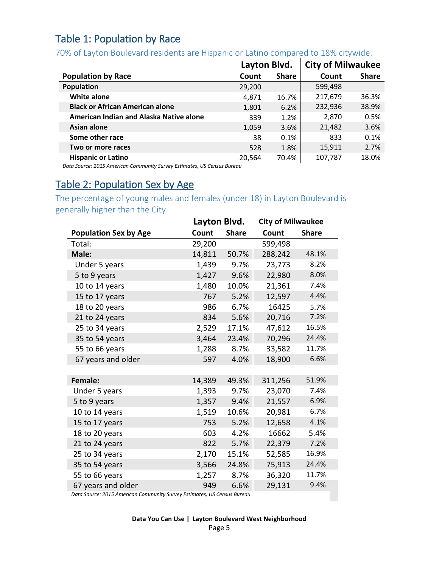#### Table 1: Population by Race

#### 70% of Layton Boulevard residents are Hispanic or Latino compared to 18% citywide.

|                                         | Layton Blvd. |              | <b>City of Milwaukee</b> |              |
|-----------------------------------------|--------------|--------------|--------------------------|--------------|
| <b>Population by Race</b>               | Count        | <b>Share</b> | Count                    | <b>Share</b> |
| <b>Population</b>                       | 29,200       |              | 599,498                  |              |
| <b>White alone</b>                      | 4.871        | 16.7%        | 217,679                  | 36.3%        |
| <b>Black or African American alone</b>  | 1,801        | 6.2%         | 232,936                  | 38.9%        |
| American Indian and Alaska Native alone | 339          | 1.2%         | 2,870                    | 0.5%         |
| Asian alone                             | 1,059        | 3.6%         | 21,482                   | 3.6%         |
| Some other race                         | 38           | 0.1%         | 833                      | 0.1%         |
| Two or more races                       | 528          | 1.8%         | 15,911                   | 2.7%         |
| <b>Hispanic or Latino</b>               | 20,564       | 70.4%        | 107,787                  | 18.0%        |

*Data Source: 2015 American Community Survey Estimates, US Census Bureau*

#### Table 2: Population Sex by Age

The percentage of young males and females (under 18) in Layton Boulevard is generally higher than the City.

|                              |        | Layton Blvd. |         | <b>City of Milwaukee</b> |
|------------------------------|--------|--------------|---------|--------------------------|
| <b>Population Sex by Age</b> | Count  | <b>Share</b> | Count   | <b>Share</b>             |
| Total:                       | 29,200 |              | 599,498 |                          |
| Male:                        | 14,811 | 50.7%        | 288,242 | 48.1%                    |
| Under 5 years                | 1,439  | 9.7%         | 23,773  | 8.2%                     |
| 5 to 9 years                 | 1,427  | 9.6%         | 22,980  | 8.0%                     |
| 10 to 14 years               | 1,480  | 10.0%        | 21,361  | 7.4%                     |
| 15 to 17 years               | 767    | 5.2%         | 12,597  | 4.4%                     |
| 18 to 20 years               | 986    | 6.7%         | 16425   | 5.7%                     |
| 21 to 24 years               | 834    | 5.6%         | 20,716  | 7.2%                     |
| 25 to 34 years               | 2,529  | 17.1%        | 47,612  | 16.5%                    |
| 35 to 54 years               | 3,464  | 23.4%        | 70,296  | 24.4%                    |
| 55 to 66 years               | 1,288  | 8.7%         | 33,582  | 11.7%                    |
| 67 years and older           | 597    | 4.0%         | 18,900  | 6.6%                     |
|                              |        |              |         |                          |
| Female:                      | 14,389 | 49.3%        | 311,256 | 51.9%                    |
| Under 5 years                | 1,393  | 9.7%         | 23,070  | 7.4%                     |
| 5 to 9 years                 | 1,357  | 9.4%         | 21,557  | 6.9%                     |
| 10 to 14 years               | 1,519  | 10.6%        | 20,981  | 6.7%                     |
| 15 to 17 years               | 753    | 5.2%         | 12,658  | 4.1%                     |
| 18 to 20 years               | 603    | 4.2%         | 16662   | 5.4%                     |
| 21 to 24 years               | 822    | 5.7%         | 22,379  | 7.2%                     |
| 25 to 34 years               | 2,170  | 15.1%        | 52,585  | 16.9%                    |
| 35 to 54 years               | 3,566  | 24.8%        | 75,913  | 24.4%                    |
| 55 to 66 years               | 1,257  | 8.7%         | 36,320  | 11.7%                    |
| 67 years and older           | 949    | 6.6%         | 29,131  | 9.4%                     |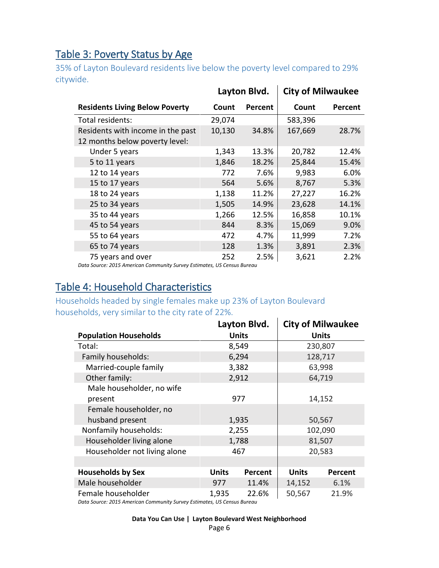#### Table 3: Poverty Status by Age

35% of Layton Boulevard residents live below the poverty level compared to 29% citywide.

|                                                                     |        | Layton Blvd.   | <b>City of Milwaukee</b> |                |
|---------------------------------------------------------------------|--------|----------------|--------------------------|----------------|
| <b>Residents Living Below Poverty</b>                               | Count  | <b>Percent</b> | Count                    | <b>Percent</b> |
| Total residents:                                                    | 29,074 |                | 583,396                  |                |
| Residents with income in the past<br>12 months below poverty level: | 10,130 | 34.8%          | 167,669                  | 28.7%          |
| Under 5 years                                                       | 1,343  | 13.3%          | 20,782                   | 12.4%          |
| 5 to 11 years                                                       | 1,846  | 18.2%          | 25,844                   | 15.4%          |
| 12 to 14 years                                                      | 772    | 7.6%           | 9,983                    | 6.0%           |
| 15 to 17 years                                                      | 564    | 5.6%           | 8,767                    | 5.3%           |
| 18 to 24 years                                                      | 1,138  | 11.2%          | 27,227                   | 16.2%          |
| 25 to 34 years                                                      | 1,505  | 14.9%          | 23,628                   | 14.1%          |
| 35 to 44 years                                                      | 1,266  | 12.5%          | 16,858                   | 10.1%          |
| 45 to 54 years                                                      | 844    | 8.3%           | 15,069                   | 9.0%           |
| 55 to 64 years                                                      | 472    | 4.7%           | 11,999                   | 7.2%           |
| 65 to 74 years                                                      | 128    | 1.3%           | 3,891                    | 2.3%           |
| 75 years and over                                                   | 252    | 2.5%           | 3,621                    | 2.2%           |

*Data Source: 2015 American Community Survey Estimates, US Census Bureau*

#### Table 4: Household Characteristics

#### Households headed by single females make up 23% of Layton Boulevard households, very similar to the city rate of 22%.

|                              |              | Layton Blvd. |              | <b>City of Milwaukee</b> |  |
|------------------------------|--------------|--------------|--------------|--------------------------|--|
| <b>Population Households</b> |              | <b>Units</b> |              | <b>Units</b>             |  |
| Total:                       |              | 8,549        |              | 230,807                  |  |
| Family households:           |              | 6,294        |              | 128,717                  |  |
| Married-couple family        |              | 3,382        |              | 63,998                   |  |
| Other family:                |              | 2,912        |              | 64,719                   |  |
| Male householder, no wife    |              |              |              |                          |  |
| present                      |              | 977          | 14,152       |                          |  |
| Female householder, no       |              |              |              |                          |  |
| husband present              |              | 1,935        | 50,567       |                          |  |
| Nonfamily households:        |              | 2,255        | 102,090      |                          |  |
| Householder living alone     |              | 1,788        | 81,507       |                          |  |
| Householder not living alone |              | 467          |              | 20,583                   |  |
|                              |              |              |              |                          |  |
| <b>Households by Sex</b>     | <b>Units</b> | Percent      | <b>Units</b> | Percent                  |  |
| Male householder             | 977          | 11.4%        | 14,152       | 6.1%                     |  |
| Female householder           | 1,935        | 22.6%        | 50,567       | 21.9%                    |  |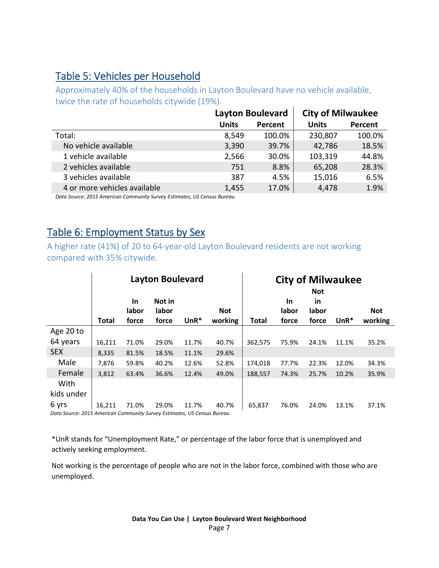#### Table 5: Vehicles per Household

Approximately 40% of the households in Layton Boulevard have no vehicle available, twice the rate of households citywide (19%).

| <b>City of Milwaukee</b> |
|--------------------------|
| Percent                  |
| 100.0%                   |
| 18.5%                    |
| 44.8%                    |
| 28.3%                    |
| 6.5%                     |
| 1.9%                     |
|                          |

*Data Source: 2015 American Community Survey Estimates, US Census Bureau*

#### Table 6: Employment Status by Sex

A higher rate (41%) of 20 to 64-year-old Layton Boulevard residents are not working compared with 35% citywide.

|                                                                                  |              |                             | <b>Layton Boulevard</b>  |        |                       | <b>City of Milwaukee</b><br><b>Not</b> |                             |                      |        |                       |
|----------------------------------------------------------------------------------|--------------|-----------------------------|--------------------------|--------|-----------------------|----------------------------------------|-----------------------------|----------------------|--------|-----------------------|
|                                                                                  | <b>Total</b> | <b>In</b><br>labor<br>force | Not in<br>labor<br>force | $UnR*$ | <b>Not</b><br>working | Total                                  | <b>In</b><br>labor<br>force | in<br>labor<br>force | $UnR*$ | <b>Not</b><br>working |
| Age 20 to                                                                        |              |                             |                          |        |                       |                                        |                             |                      |        |                       |
| 64 years                                                                         | 16,211       | 71.0%                       | 29.0%                    | 11.7%  | 40.7%                 | 362,575                                | 75.9%                       | 24.1%                | 11.1%  | 35.2%                 |
| <b>SEX</b>                                                                       | 8,335        | 81.5%                       | 18.5%                    | 11.1%  | 29.6%                 |                                        |                             |                      |        |                       |
| Male                                                                             | 7,876        | 59.8%                       | 40.2%                    | 12.6%  | 52.8%                 | 174,018                                | 77.7%                       | 22.3%                | 12.0%  | 34.3%                 |
| Female                                                                           | 3,812        | 63.4%                       | 36.6%                    | 12.4%  | 49.0%                 | 188,557                                | 74.3%                       | 25.7%                | 10.2%  | 35.9%                 |
| With                                                                             |              |                             |                          |        |                       |                                        |                             |                      |        |                       |
| kids under                                                                       |              |                             |                          |        |                       |                                        |                             |                      |        |                       |
| 6 yrs<br>Data Source: 2015 American Community Survey Estimates, US Census Bureau | 16,211       | 71.0%                       | 29.0%                    | 11.7%  | 40.7%                 | 65,837                                 | 76.0%                       | 24.0%                | 13.1%  | 37.1%                 |

\*UnR stands for "Unemployment Rate," or percentage of the labor force that is unemployed and actively seeking employment.

Not working is the percentage of people who are not in the labor force, combined with those who are unemployed.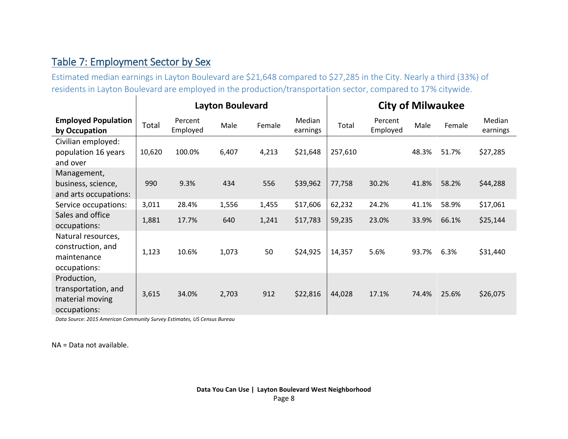#### Table 7: Employment Sector by Sex

Estimated median earnings in Layton Boulevard are \$21,648 compared to \$27,285 in the City. Nearly a third (33%) of residents in Layton Boulevard are employed in the production/transportation sector, compared to 17% citywide.

|                                                                        | <b>Layton Boulevard</b> |                     |       |        |                    | <b>City of Milwaukee</b> |                     |       |        |                    |
|------------------------------------------------------------------------|-------------------------|---------------------|-------|--------|--------------------|--------------------------|---------------------|-------|--------|--------------------|
| <b>Employed Population</b><br>by Occupation                            | Total                   | Percent<br>Employed | Male  | Female | Median<br>earnings | Total                    | Percent<br>Employed | Male  | Female | Median<br>earnings |
| Civilian employed:<br>population 16 years<br>and over                  | 10,620                  | 100.0%              | 6,407 | 4,213  | \$21,648           | 257,610                  |                     | 48.3% | 51.7%  | \$27,285           |
| Management,<br>business, science,<br>and arts occupations:             | 990                     | 9.3%                | 434   | 556    | \$39,962           | 77,758                   | 30.2%               | 41.8% | 58.2%  | \$44,288           |
| Service occupations:                                                   | 3,011                   | 28.4%               | 1,556 | 1,455  | \$17,606           | 62,232                   | 24.2%               | 41.1% | 58.9%  | \$17,061           |
| Sales and office<br>occupations:                                       | 1,881                   | 17.7%               | 640   | 1,241  | \$17,783           | 59,235                   | 23.0%               | 33.9% | 66.1%  | \$25,144           |
| Natural resources,<br>construction, and<br>maintenance<br>occupations: | 1,123                   | 10.6%               | 1,073 | 50     | \$24,925           | 14,357                   | 5.6%                | 93.7% | 6.3%   | \$31,440           |
| Production,<br>transportation, and<br>material moving<br>occupations:  | 3,615                   | 34.0%               | 2,703 | 912    | \$22,816           | 44,028                   | 17.1%               | 74.4% | 25.6%  | \$26,075           |

*Data Source: 2015 American Community Survey Estimates, US Census Bureau*

NA = Data not available.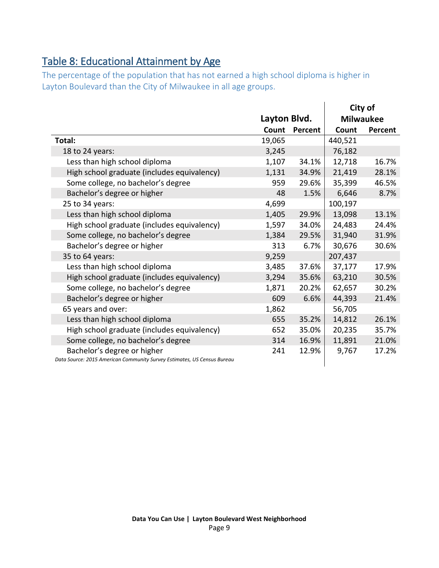## Table 8: Educational Attainment by Age

The percentage of the population that has not earned a high school diploma is higher in Layton Boulevard than the City of Milwaukee in all age groups.

|                                                                                                        |              |         |                  | City of |  |
|--------------------------------------------------------------------------------------------------------|--------------|---------|------------------|---------|--|
|                                                                                                        | Layton Blvd. |         | <b>Milwaukee</b> |         |  |
|                                                                                                        | Count        | Percent | Count            | Percent |  |
| Total:                                                                                                 | 19,065       |         | 440,521          |         |  |
| 18 to 24 years:                                                                                        | 3,245        |         | 76,182           |         |  |
| Less than high school diploma                                                                          | 1,107        | 34.1%   | 12,718           | 16.7%   |  |
| High school graduate (includes equivalency)                                                            | 1,131        | 34.9%   | 21,419           | 28.1%   |  |
| Some college, no bachelor's degree                                                                     | 959          | 29.6%   | 35,399           | 46.5%   |  |
| Bachelor's degree or higher                                                                            | 48           | 1.5%    | 6,646            | 8.7%    |  |
| 25 to 34 years:                                                                                        | 4,699        |         | 100,197          |         |  |
| Less than high school diploma                                                                          | 1,405        | 29.9%   | 13,098           | 13.1%   |  |
| High school graduate (includes equivalency)                                                            | 1,597        | 34.0%   | 24,483           | 24.4%   |  |
| Some college, no bachelor's degree                                                                     | 1,384        | 29.5%   | 31,940           | 31.9%   |  |
| Bachelor's degree or higher                                                                            | 313          | 6.7%    | 30,676           | 30.6%   |  |
| 35 to 64 years:                                                                                        | 9,259        |         | 207,437          |         |  |
| Less than high school diploma                                                                          | 3,485        | 37.6%   | 37,177           | 17.9%   |  |
| High school graduate (includes equivalency)                                                            | 3,294        | 35.6%   | 63,210           | 30.5%   |  |
| Some college, no bachelor's degree                                                                     | 1,871        | 20.2%   | 62,657           | 30.2%   |  |
| Bachelor's degree or higher                                                                            | 609          | 6.6%    | 44,393           | 21.4%   |  |
| 65 years and over:                                                                                     | 1,862        |         | 56,705           |         |  |
| Less than high school diploma                                                                          | 655          | 35.2%   | 14,812           | 26.1%   |  |
| High school graduate (includes equivalency)                                                            | 652          | 35.0%   | 20,235           | 35.7%   |  |
| Some college, no bachelor's degree                                                                     | 314          | 16.9%   | 11,891           | 21.0%   |  |
| Bachelor's degree or higher<br>Data Source: 2015 American Community Survey Estimates, US Census Bureau | 241          | 12.9%   | 9,767            | 17.2%   |  |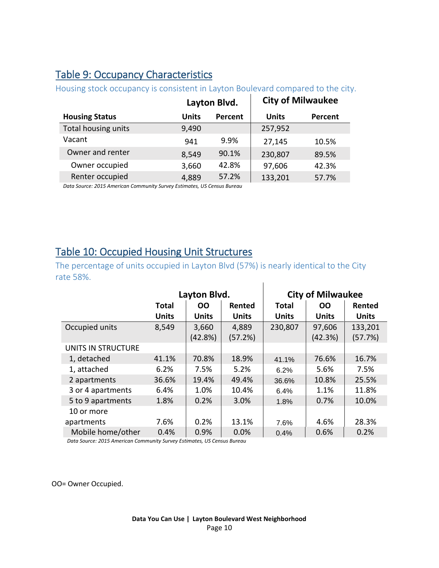#### Table 9: Occupancy Characteristics

|                       |              | Layton Blvd.   |              | <b>City of Milwaukee</b> |
|-----------------------|--------------|----------------|--------------|--------------------------|
| <b>Housing Status</b> | <b>Units</b> | <b>Percent</b> | <b>Units</b> | Percent                  |
| Total housing units   | 9,490        |                | 257,952      |                          |
| Vacant                | 941          | 9.9%           | 27,145       | 10.5%                    |
| Owner and renter      | 8,549        | 90.1%          | 230,807      | 89.5%                    |
| Owner occupied        | 3,660        | 42.8%          | 97,606       | 42.3%                    |
| Renter occupied       | 4,889        | 57.2%          | 133,201      | 57.7%                    |

Housing stock occupancy is consistent in Layton Boulevard compared to the city.

*Data Source: 2015 American Community Survey Estimates, US Census Bureau*

#### Table 10: Occupied Housing Unit Structures

The percentage of units occupied in Layton Blvd (57%) is nearly identical to the City rate 58%.  $\overline{1}$ 

|                    |              | Layton Blvd. |              | <b>City of Milwaukee</b> |              |              |  |
|--------------------|--------------|--------------|--------------|--------------------------|--------------|--------------|--|
|                    | <b>Total</b> | <b>OO</b>    | Rented       | <b>Total</b>             | <b>OO</b>    | Rented       |  |
|                    | <b>Units</b> | <b>Units</b> | <b>Units</b> | <b>Units</b>             | <b>Units</b> | <b>Units</b> |  |
| Occupied units     | 8,549        | 3,660        | 4,889        | 230,807                  | 97,606       | 133,201      |  |
|                    |              | (42.8%)      | (57.2%)      |                          | (42.3%)      | (57.7%)      |  |
| UNITS IN STRUCTURE |              |              |              |                          |              |              |  |
| 1, detached        | 41.1%        | 70.8%        | 18.9%        | 41.1%                    | 76.6%        | 16.7%        |  |
| 1, attached        | 6.2%         | 7.5%         | 5.2%         | 6.2%                     | 5.6%         | 7.5%         |  |
| 2 apartments       | 36.6%        | 19.4%        | 49.4%        | 36.6%                    | 10.8%        | 25.5%        |  |
| 3 or 4 apartments  | 6.4%         | 1.0%         | 10.4%        | 6.4%                     | 1.1%         | 11.8%        |  |
| 5 to 9 apartments  | 1.8%         | 0.2%         | 3.0%         | 1.8%                     | 0.7%         | 10.0%        |  |
| 10 or more         |              |              |              |                          |              |              |  |
| apartments         | 7.6%         | 0.2%         | 13.1%        | 7.6%                     | 4.6%         | 28.3%        |  |
| Mobile home/other  | 0.4%         | 0.9%         | 0.0%         | 0.4%                     | 0.6%         | 0.2%         |  |

*Data Source: 2015 American Community Survey Estimates, US Census Bureau*

OO= Owner Occupied.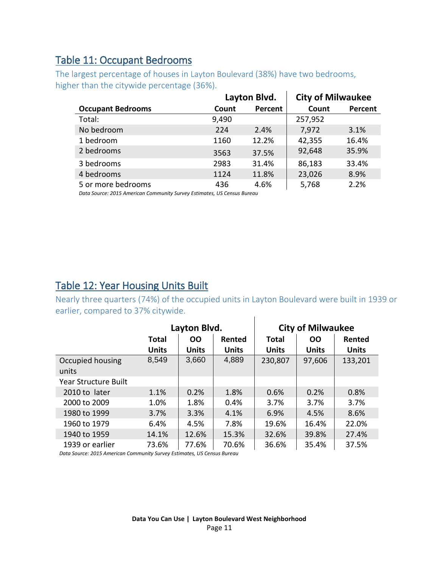#### Table 11: Occupant Bedrooms

The largest percentage of houses in Layton Boulevard (38%) have two bedrooms, higher than the citywide percentage (36%).

|                          | Layton Blvd. |         | <b>City of Milwaukee</b> |         |
|--------------------------|--------------|---------|--------------------------|---------|
| <b>Occupant Bedrooms</b> | Count        | Percent | Count                    | Percent |
| Total:                   | 9,490        |         | 257,952                  |         |
| No bedroom               | 224          | 2.4%    | 7,972                    | 3.1%    |
| 1 bedroom                | 1160         | 12.2%   | 42,355                   | 16.4%   |
| 2 bedrooms               | 3563         | 37.5%   | 92,648                   | 35.9%   |
| 3 bedrooms               | 2983         | 31.4%   | 86,183                   | 33.4%   |
| 4 bedrooms               | 1124         | 11.8%   | 23,026                   | 8.9%    |
| 5 or more bedrooms       | 436          | 4.6%    | 5,768                    | 2.2%    |

*Data Source: 2015 American Community Survey Estimates, US Census Bureau*

#### Table 12: Year Housing Units Built

Nearly three quarters (74%) of the occupied units in Layton Boulevard were built in 1939 or earlier, compared to 37% citywide.  $\mathbf{I}$ 

|                           |              | Layton Blvd.        |              | <b>City of Milwaukee</b> |              |              |  |
|---------------------------|--------------|---------------------|--------------|--------------------------|--------------|--------------|--|
|                           | Total        | <b>OO</b><br>Rented |              | Total                    | <b>OO</b>    | Rented       |  |
|                           | <b>Units</b> | <b>Units</b>        | <b>Units</b> | <b>Units</b>             | <b>Units</b> | <b>Units</b> |  |
| Occupied housing<br>units | 8,549        | 3,660               | 4,889        | 230,807                  | 97,606       | 133,201      |  |
| Year Structure Built      |              |                     |              |                          |              |              |  |
| 2010 to later             | 1.1%         | 0.2%                | 1.8%         | 0.6%                     | 0.2%         | 0.8%         |  |
| 2000 to 2009              | 1.0%         | 1.8%                | 0.4%         | 3.7%                     | 3.7%         | 3.7%         |  |
| 1980 to 1999              | 3.7%         | 3.3%                | 4.1%         | 6.9%                     | 4.5%         | 8.6%         |  |
| 1960 to 1979              | 6.4%         | 4.5%                | 7.8%         | 19.6%                    | 16.4%        | 22.0%        |  |
| 1940 to 1959              | 14.1%        | 12.6%               | 15.3%        | 32.6%                    | 39.8%        | 27.4%        |  |
| 1939 or earlier           | 73.6%        | 77.6%               | 70.6%        | 36.6%                    | 35.4%        | 37.5%        |  |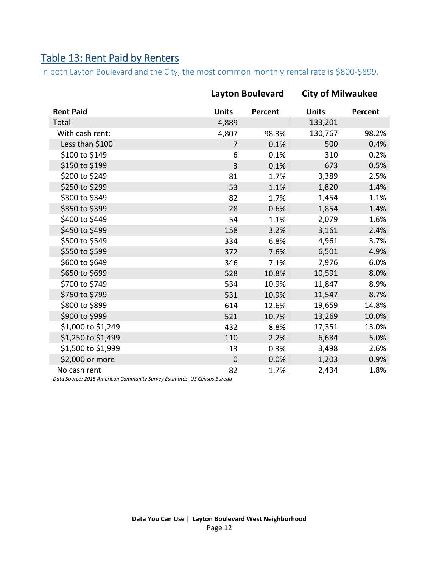### Table 13: Rent Paid by Renters

In both Layton Boulevard and the City, the most common monthly rental rate is \$800-\$899.

|                    |                | <b>Layton Boulevard</b> | <b>City of Milwaukee</b> |         |  |
|--------------------|----------------|-------------------------|--------------------------|---------|--|
| <b>Rent Paid</b>   | <b>Units</b>   | Percent                 | <b>Units</b>             | Percent |  |
| Total              | 4,889          |                         | 133,201                  |         |  |
| With cash rent:    | 4,807          | 98.3%                   | 130,767                  | 98.2%   |  |
| Less than \$100    | $\overline{7}$ | 0.1%                    | 500                      | 0.4%    |  |
| \$100 to \$149     | 6              | 0.1%                    | 310                      | 0.2%    |  |
| \$150 to \$199     | 3              | 0.1%                    | 673                      | 0.5%    |  |
| \$200 to \$249     | 81             | 1.7%                    | 3,389                    | 2.5%    |  |
| \$250 to \$299     | 53             | 1.1%                    | 1,820                    | 1.4%    |  |
| \$300 to \$349     | 82             | 1.7%                    | 1,454                    | 1.1%    |  |
| \$350 to \$399     | 28             | 0.6%                    | 1,854                    | 1.4%    |  |
| \$400 to \$449     | 54             | 1.1%                    | 2,079                    | 1.6%    |  |
| \$450 to \$499     | 158            | 3.2%                    | 3,161                    | 2.4%    |  |
| \$500 to \$549     | 334            | 6.8%                    | 4,961                    | 3.7%    |  |
| \$550 to \$599     | 372            | 7.6%                    | 6,501                    | 4.9%    |  |
| \$600 to \$649     | 346            | 7.1%                    | 7,976                    | 6.0%    |  |
| \$650 to \$699     | 528            | 10.8%                   | 10,591                   | 8.0%    |  |
| \$700 to \$749     | 534            | 10.9%                   | 11,847                   | 8.9%    |  |
| \$750 to \$799     | 531            | 10.9%                   | 11,547                   | 8.7%    |  |
| \$800 to \$899     | 614            | 12.6%                   | 19,659                   | 14.8%   |  |
| \$900 to \$999     | 521            | 10.7%                   | 13,269                   | 10.0%   |  |
| \$1,000 to \$1,249 | 432            | 8.8%                    | 17,351                   | 13.0%   |  |
| \$1,250 to \$1,499 | 110            | 2.2%                    | 6,684                    | 5.0%    |  |
| \$1,500 to \$1,999 | 13             | 0.3%                    | 3,498                    | 2.6%    |  |
| \$2,000 or more    | $\mathbf 0$    | 0.0%                    | 1,203                    | 0.9%    |  |
| No cash rent       | 82             | 1.7%                    | 2,434                    | 1.8%    |  |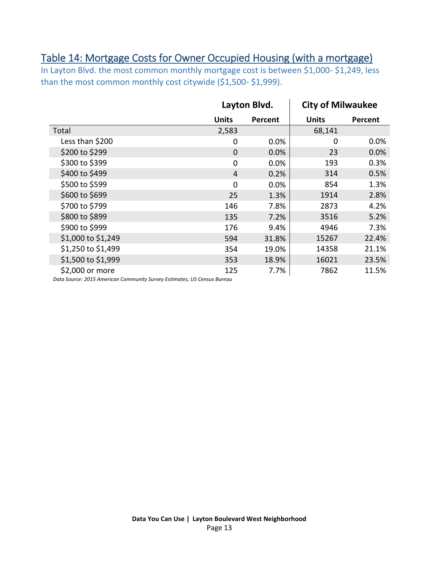#### Table 14: Mortgage Costs for Owner Occupied Housing (with a mortgage)

In Layton Blvd. the most common monthly mortgage cost is between \$1,000- \$1,249, less than the most common monthly cost citywide (\$1,500-\$1,999).

<span id="page-12-0"></span>

|                    |              | Layton Blvd. | <b>City of Milwaukee</b> |         |  |
|--------------------|--------------|--------------|--------------------------|---------|--|
|                    | <b>Units</b> | Percent      | <b>Units</b>             | Percent |  |
| Total              | 2,583        |              | 68,141                   |         |  |
| Less than \$200    | 0            | 0.0%         | 0                        | 0.0%    |  |
| \$200 to \$299     | $\mathbf 0$  | 0.0%         | 23                       | 0.0%    |  |
| \$300 to \$399     | 0            | 0.0%         | 193                      | 0.3%    |  |
| \$400 to \$499     | 4            | 0.2%         | 314                      | 0.5%    |  |
| \$500 to \$599     | 0            | 0.0%         | 854                      | 1.3%    |  |
| \$600 to \$699     | 25           | 1.3%         | 1914                     | 2.8%    |  |
| \$700 to \$799     | 146          | 7.8%         | 2873                     | 4.2%    |  |
| \$800 to \$899     | 135          | 7.2%         | 3516                     | 5.2%    |  |
| \$900 to \$999     | 176          | 9.4%         | 4946                     | 7.3%    |  |
| \$1,000 to \$1,249 | 594          | 31.8%        | 15267                    | 22.4%   |  |
| \$1,250 to \$1,499 | 354          | 19.0%        | 14358                    | 21.1%   |  |
| \$1,500 to \$1,999 | 353          | 18.9%        | 16021                    | 23.5%   |  |
| \$2,000 or more    | 125          | 7.7%         | 7862                     | 11.5%   |  |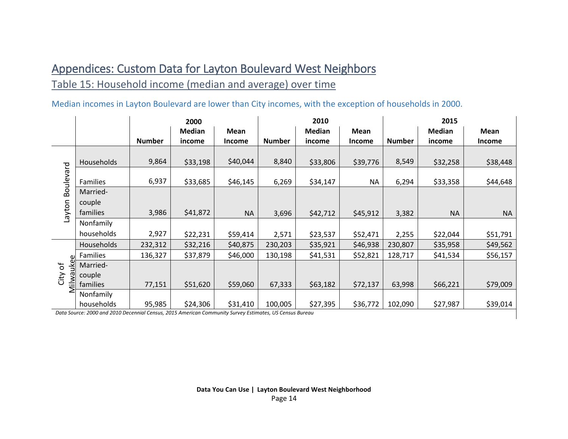# Appendices: Custom Data for Layton Boulevard West Neighbors

#### Table 15: Household income (median and average) over time

#### Median incomes in Layton Boulevard are lower than City incomes, with the exception of households in 2000.

|              |            | 2000          |               |           |               | 2010          |             | 2015          |               |           |  |
|--------------|------------|---------------|---------------|-----------|---------------|---------------|-------------|---------------|---------------|-----------|--|
|              |            |               | <b>Median</b> | Mean      |               | <b>Median</b> | <b>Mean</b> |               | <b>Median</b> | Mean      |  |
|              |            | <b>Number</b> | income        | Income    | <b>Number</b> | income        | Income      | <b>Number</b> | income        | Income    |  |
|              | Households | 9,864         | \$33,198      | \$40,044  | 8,840         | \$33,806      | \$39,776    | 8,549         | \$32,258      | \$38,448  |  |
| Boulevard    | Families   | 6,937         | \$33,685      | \$46,145  | 6,269         | \$34,147      | <b>NA</b>   | 6,294         | \$33,358      | \$44,648  |  |
|              | Married-   |               |               |           |               |               |             |               |               |           |  |
| Layton       | couple     |               |               |           |               |               |             |               |               |           |  |
|              | families   | 3,986         | \$41,872      | <b>NA</b> | 3,696         | \$42,712      | \$45,912    | 3,382         | <b>NA</b>     | <b>NA</b> |  |
|              | Nonfamily  |               |               |           |               |               |             |               |               |           |  |
|              | households | 2,927         | \$22,231      | \$59,414  | 2,571         | \$23,537      | \$52,471    | 2,255         | \$22,044      | \$51,791  |  |
|              | Households | 232,312       | \$32,216      | \$40,875  | 230,203       | \$35,921      | \$46,938    | 230,807       | \$35,958      | \$49,562  |  |
| Φ            | Families   | 136,327       | \$37,879      | \$46,000  | 130,198       | \$41,531      | \$52,821    | 128,717       | \$41,534      | \$56,157  |  |
| Ⴆ<br>좀       | Married-   |               |               |           |               |               |             |               |               |           |  |
| City         | couple     |               |               |           |               |               |             |               |               |           |  |
| <b>Milwa</b> | families   | 77,151        | \$51,620      | \$59,060  | 67,333        | \$63,182      | \$72,137    | 63,998        | \$66,221      | \$79,009  |  |
|              | Nonfamily  |               |               |           |               |               |             |               |               |           |  |
|              | households | 95,985        | \$24,306      | \$31,410  | 100,005       | \$27,395      | \$36,772    | 102,090       | \$27,987      | \$39,014  |  |

*Data Source: 2000 and 2010 Decennial Census, 2015 American Community Survey Estimates, US Census Bureau*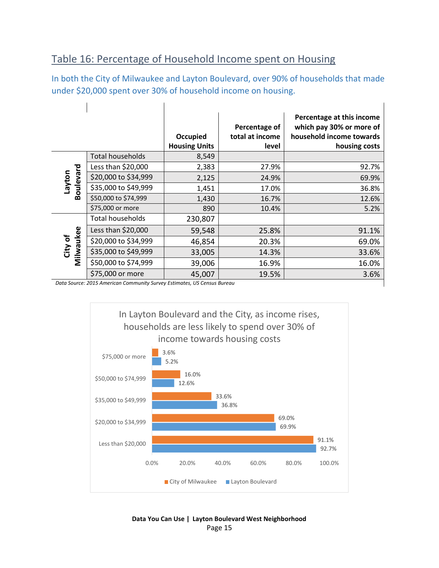#### Table 16: Percentage of Household Income spent on Housing

In both the City of Milwaukee and Layton Boulevard, over 90% of households that made under \$20,000 spent over 30% of household income on housing.

|                      |                                                                         | Occupied<br><b>Housing Units</b> | Percentage of<br>total at income<br>level | Percentage at this income<br>which pay 30% or more of<br>household income towards<br>housing costs |
|----------------------|-------------------------------------------------------------------------|----------------------------------|-------------------------------------------|----------------------------------------------------------------------------------------------------|
|                      | <b>Total households</b>                                                 | 8,549                            |                                           |                                                                                                    |
|                      | Less than \$20,000                                                      | 2,383                            | 27.9%                                     | 92.7%                                                                                              |
| notyel               | \$20,000 to \$34,999                                                    | 2,125                            | 24.9%                                     | 69.9%                                                                                              |
| Boulevard            | \$35,000 to \$49,999                                                    | 1,451                            | 17.0%                                     | 36.8%                                                                                              |
|                      | \$50,000 to \$74,999                                                    | 1,430                            | 16.7%                                     | 12.6%                                                                                              |
|                      | \$75,000 or more                                                        | 890                              | 10.4%                                     | 5.2%                                                                                               |
|                      | Total households                                                        | 230,807                          |                                           |                                                                                                    |
| City of<br>Milwaukee | Less than \$20,000                                                      | 59,548                           | 25.8%                                     | 91.1%                                                                                              |
|                      | \$20,000 to \$34,999                                                    | 46,854                           | 20.3%                                     | 69.0%                                                                                              |
|                      | \$35,000 to \$49,999                                                    | 33,005                           | 14.3%                                     | 33.6%                                                                                              |
|                      | \$50,000 to \$74,999                                                    | 39,006                           | 16.9%                                     | 16.0%                                                                                              |
|                      | \$75,000 or more                                                        | 45,007                           | 19.5%                                     | 3.6%                                                                                               |
|                      | Data Source: 2015 American Community Survey Estimates, US Census Bureau |                                  |                                           |                                                                                                    |

*Data Source: 2015 American Community Survey Estimates, US Census Bureau*



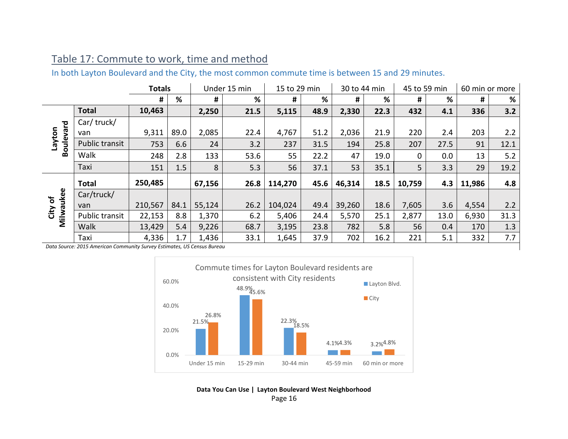#### Table 17: Commute to work, time and method

In both Layton Boulevard and the City, the most common commute time is between 15 and 29 minutes.

| <b>Totals</b>              |                |         | Under 15 min | 15 to 29 min |      | 30 to 44 min<br>45 to 59 min |      | 60 min or more |      |          |      |        |      |
|----------------------------|----------------|---------|--------------|--------------|------|------------------------------|------|----------------|------|----------|------|--------|------|
|                            |                | #       | %            | #            | %    | #                            | %    | #              | %    | #        | %    | #      | %    |
|                            | <b>Total</b>   | 10,463  |              | 2,250        | 21.5 | 5,115                        | 48.9 | 2,330          | 22.3 | 432      | 4.1  | 336    | 3.2  |
|                            | Car/truck/     |         |              |              |      |                              |      |                |      |          |      |        |      |
|                            | van            | 9,311   | 89.0         | 2,085        | 22.4 | 4,767                        | 51.2 | 2,036          | 21.9 | 220      | 2.4  | 203    | 2.2  |
| <b>Boulevard</b><br>Layton | Public transit | 753     | 6.6          | 24           | 3.2  | 237                          | 31.5 | 194            | 25.8 | 207      | 27.5 | 91     | 12.1 |
|                            | Walk           | 248     | 2.8          | 133          | 53.6 | 55                           | 22.2 | 47             | 19.0 | $\Omega$ | 0.0  | 13     | 5.2  |
|                            | Taxi           | 151     | 1.5          | 8            | 5.3  | 56                           | 37.1 | 53             | 35.1 | 5        | 3.3  | 29     | 19.2 |
|                            | <b>Total</b>   | 250,485 |              | 67,156       | 26.8 | 114,270                      | 45.6 | 46,314         | 18.5 | 10,759   | 4.3  | 11,986 | 4.8  |
|                            | Car/truck/     |         |              |              |      |                              |      |                |      |          |      |        |      |
| Milwaukee<br>City of       | van            | 210,567 | 84.1         | 55,124       | 26.2 | 104,024                      | 49.4 | 39,260         | 18.6 | 7,605    | 3.6  | 4,554  | 2.2  |
|                            | Public transit | 22,153  | 8.8          | 1,370        | 6.2  | 5,406                        | 24.4 | 5,570          | 25.1 | 2,877    | 13.0 | 6,930  | 31.3 |
|                            | Walk           | 13,429  | 5.4          | 9,226        | 68.7 | 3,195                        | 23.8 | 782            | 5.8  | 56       | 0.4  | 170    | 1.3  |
|                            | Taxi           | 4,336   | 1.7          | 1,436        | 33.1 | 1,645                        | 37.9 | 702            | 16.2 | 221      | 5.1  | 332    | 7.7  |



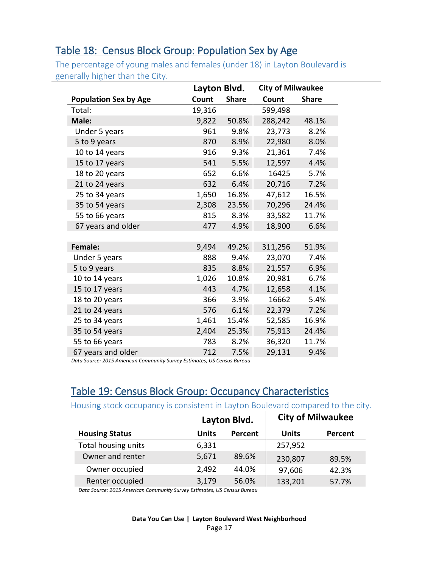#### Table 18: Census Block Group: Population Sex by Age

The percentage of young males and females (under 18) in Layton Boulevard is generally higher than the City.

|                              | Layton Blvd. |              | <b>City of Milwaukee</b> |              |  |
|------------------------------|--------------|--------------|--------------------------|--------------|--|
| <b>Population Sex by Age</b> | Count        | <b>Share</b> | Count                    | <b>Share</b> |  |
| Total:                       | 19,316       |              | 599,498                  |              |  |
| Male:                        | 9,822        | 50.8%        | 288,242                  | 48.1%        |  |
| Under 5 years                | 961          | 9.8%         | 23,773                   | 8.2%         |  |
| 5 to 9 years                 | 870          | 8.9%         | 22,980                   | 8.0%         |  |
| 10 to 14 years               | 916          | 9.3%         | 21,361                   | 7.4%         |  |
| 15 to 17 years               | 541          | 5.5%         | 12,597                   | 4.4%         |  |
| 18 to 20 years               | 652          | 6.6%         | 16425                    | 5.7%         |  |
| 21 to 24 years               | 632          | 6.4%         | 20,716                   | 7.2%         |  |
| 25 to 34 years               | 1,650        | 16.8%        | 47,612                   | 16.5%        |  |
| 35 to 54 years               | 2,308        | 23.5%        | 70,296                   | 24.4%        |  |
| 55 to 66 years               | 815          | 8.3%         | 33,582                   | 11.7%        |  |
| 67 years and older           | 477          | 4.9%         | 18,900                   | 6.6%         |  |
|                              |              |              |                          |              |  |
| <b>Female:</b>               | 9,494        | 49.2%        | 311,256                  | 51.9%        |  |
| Under 5 years                | 888          | 9.4%         | 23,070                   | 7.4%         |  |
| 5 to 9 years                 | 835          | 8.8%         | 21,557                   | 6.9%         |  |
| 10 to 14 years               | 1,026        | 10.8%        | 20,981                   | 6.7%         |  |
| 15 to 17 years               | 443          | 4.7%         | 12,658                   | 4.1%         |  |
| 18 to 20 years               | 366          | 3.9%         | 16662                    | 5.4%         |  |
| 21 to 24 years               | 576          | 6.1%         | 22,379                   | 7.2%         |  |
| 25 to 34 years               | 1,461        | 15.4%        | 52,585                   | 16.9%        |  |
| 35 to 54 years               | 2,404        | 25.3%        | 75,913                   | 24.4%        |  |
| 55 to 66 years               | 783          | 8.2%         | 36,320                   | 11.7%        |  |
| 67 years and older           | 712          | 7.5%         | 29,131                   | 9.4%         |  |

*Data Source: 2015 American Community Survey Estimates, US Census Bureau*

#### Table 19: Census Block Group: Occupancy Characteristics

#### Housing stock occupancy is consistent in Layton Boulevard compared to the city.

|                       |              | Layton Blvd.   | <b>City of Milwaukee</b> |         |  |
|-----------------------|--------------|----------------|--------------------------|---------|--|
| <b>Housing Status</b> | <b>Units</b> | <b>Percent</b> | <b>Units</b>             | Percent |  |
| Total housing units   | 6,331        |                | 257,952                  |         |  |
| Owner and renter      | 5,671        | 89.6%          | 230,807                  | 89.5%   |  |
| Owner occupied        | 2,492        | 44.0%          | 97,606                   | 42.3%   |  |
| Renter occupied       | 3,179        | 56.0%          | 133,201                  | 57.7%   |  |